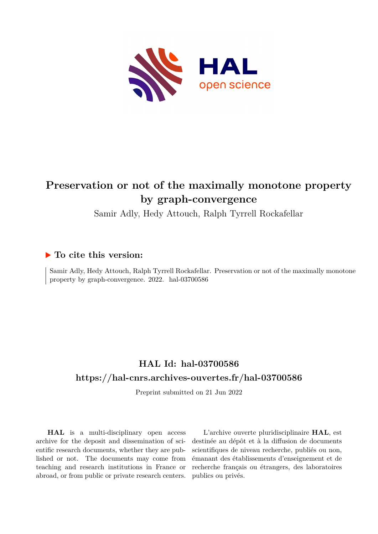

# **Preservation or not of the maximally monotone property by graph-convergence**

Samir Adly, Hedy Attouch, Ralph Tyrrell Rockafellar

## **To cite this version:**

Samir Adly, Hedy Attouch, Ralph Tyrrell Rockafellar. Preservation or not of the maximally monotone property by graph-convergence.  $2022$ . hal- $03700586$ 

## **HAL Id: hal-03700586 <https://hal-cnrs.archives-ouvertes.fr/hal-03700586>**

Preprint submitted on 21 Jun 2022

**HAL** is a multi-disciplinary open access archive for the deposit and dissemination of scientific research documents, whether they are published or not. The documents may come from teaching and research institutions in France or abroad, or from public or private research centers.

L'archive ouverte pluridisciplinaire **HAL**, est destinée au dépôt et à la diffusion de documents scientifiques de niveau recherche, publiés ou non, émanant des établissements d'enseignement et de recherche français ou étrangers, des laboratoires publics ou privés.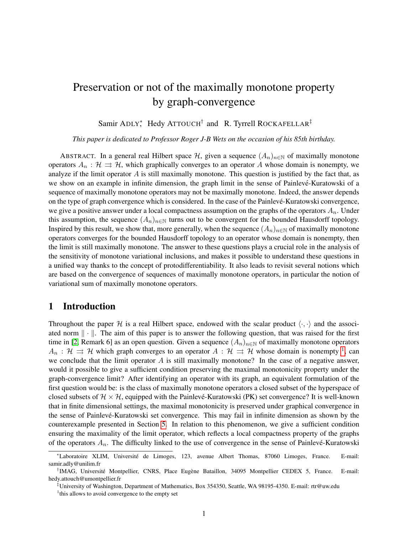# Preservation or not of the maximally monotone property by graph-convergence

Samir ADLY<sup>\*</sup>, Hedy ATTOUCH<sup>†</sup> and R. Tyrrell ROCKAFELLAR<sup>‡</sup>

*This paper is dedicated to Professor Roger J-B Wets on the occasion of his 85th birthday.*

ABSTRACT. In a general real Hilbert space H, given a sequence  $(A_n)_{n\in\mathbb{N}}$  of maximally monotone operators  $A_n : \mathcal{H} \implies \mathcal{H}$ , which graphically converges to an operator A whose domain is nonempty, we analyze if the limit operator  $A$  is still maximally monotone. This question is justified by the fact that, as we show on an example in infinite dimension, the graph limit in the sense of Painlevé-Kuratowski of a sequence of maximally monotone operators may not be maximally monotone. Indeed, the answer depends on the type of graph convergence which is considered. In the case of the Painleve-Kuratowski convergence, ´ we give a positive answer under a local compactness assumption on the graphs of the operators  $A_n$ . Under this assumption, the sequence  $(A_n)_{n\in\mathbb{N}}$  turns out to be convergent for the bounded Hausdorff topology. Inspired by this result, we show that, more generally, when the sequence  $(A_n)_{n\in\mathbb{N}}$  of maximally monotone operators converges for the bounded Hausdorff topology to an operator whose domain is nonempty, then the limit is still maximally monotone. The answer to these questions plays a crucial role in the analysis of the sensitivity of monotone variational inclusions, and makes it possible to understand these questions in a unified way thanks to the concept of protodifferentiability. It also leads to revisit several notions which are based on the convergence of sequences of maximally monotone operators, in particular the notion of variational sum of maximally monotone operators.

## 1 Introduction

Throughout the paper H is a real Hilbert space, endowed with the scalar product  $\langle \cdot, \cdot \rangle$  and the associated norm  $\|\cdot\|$ . The aim of this paper is to answer the following question, that was raised for the first time in [2, Remark 6] as an open question. Given a sequence  $(A_n)_{n\in\mathbb{N}}$  of maximally monotone operators  $A_n$ :  $\mathcal{H} \rightrightarrows \mathcal{H}$  which graph converges to an operator  $A: \mathcal{H} \rightrightarrows \mathcal{H}$  whose domain is nonempty <sup>1</sup>, can we conclude that the limit operator  $A$  is still maximally monotone? In the case of a negative answer, would it possible to give a sufficient condition preserving the maximal monotonicity property under the graph-convergence limit? After identifying an operator with its graph, an equivalent formulation of the first question would be: is the class of maximally monotone operators a closed subset of the hyperspace of closed subsets of  $H \times H$ , equipped with the Painlevé-Kuratowski (PK) set convergence? It is well-known that in finite dimensional settings, the maximal monotonicity is preserved under graphical convergence in the sense of Painlevé-Kuratowski set convergence. This may fail in infinite dimension as shown by the counterexample presented in Section 5. In relation to this phenomenon, we give a sufficient condition ensuring the maximality of the limit operator, which reflects a local compactness property of the graphs of the operators  $A_n$ . The difficulty linked to the use of convergence in the sense of Painlevé-Kuratowski

<sup>∗</sup>Laboratoire XLIM, Universite de Limoges, 123, avenue Albert Thomas, 87060 Limoges, France. E-mail: ´ samir.adly@unilim.fr

<sup>&</sup>lt;sup>†</sup>IMAG, Université Montpellier, CNRS, Place Eugène Bataillon, 34095 Montpellier CEDEX 5, France. E-mail: hedy.attouch@umontpellier.fr

<sup>‡</sup>University of Washington, Department of Mathematics, Box 354350, Seattle, WA 98195-4350. E-mail: rtr@uw.edu

<sup>&</sup>lt;sup>1</sup>this allows to avoid convergence to the empty set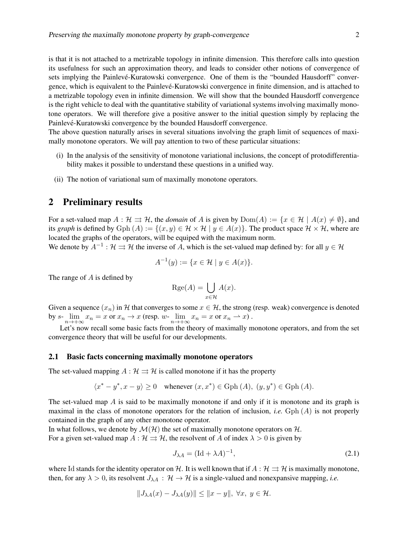is that it is not attached to a metrizable topology in infinite dimension. This therefore calls into question its usefulness for such an approximation theory, and leads to consider other notions of convergence of sets implying the Painlevé-Kuratowski convergence. One of them is the "bounded Hausdorff" convergence, which is equivalent to the Painlevé-Kuratowski convergence in finite dimension, and is attached to a metrizable topology even in infinite dimension. We will show that the bounded Hausdorff convergence is the right vehicle to deal with the quantitative stability of variational systems involving maximally monotone operators. We will therefore give a positive answer to the initial question simply by replacing the Painlevé-Kuratowski convergence by the bounded Hausdorff convergence.

The above question naturally arises in several situations involving the graph limit of sequences of maximally monotone operators. We will pay attention to two of these particular situations:

- (i) In the analysis of the sensitivity of monotone variational inclusions, the concept of protodifferentiability makes it possible to understand these questions in a unified way.
- (ii) The notion of variational sum of maximally monotone operators.

### 2 Preliminary results

For a set-valued map  $A : \mathcal{H} \rightrightarrows \mathcal{H}$ , the *domain* of A is given by  $Dom(A) := \{x \in \mathcal{H} \mid A(x) \neq \emptyset\}$ , and its *graph* is defined by Gph  $(A) := \{(x, y) \in \mathcal{H} \times \mathcal{H} \mid y \in A(x)\}\.$  The product space  $\mathcal{H} \times \mathcal{H}$ , where are located the graphs of the operators, will be equiped with the maximum norm.

We denote by  $A^{-1}$ :  $\mathcal{H} \rightrightarrows \mathcal{H}$  the inverse of A, which is the set-valued map defined by: for all  $y \in \mathcal{H}$ 

$$
A^{-1}(y) := \{ x \in \mathcal{H} \mid y \in A(x) \}.
$$

The range of  $A$  is defined by

$$
Rge(A) = \bigcup_{x \in \mathcal{H}} A(x).
$$

Given a sequence  $(x_n)$  in H that converges to some  $x \in \mathcal{H}$ , the strong (resp. weak) convergence is denoted by  $s$ - $\lim_{n \to +\infty} x_n = x$  or  $x_n \to x$  (resp.  $w$ - $\lim_{n \to +\infty} x_n = x$  or  $x_n \to x$ ).

Let's now recall some basic facts from the theory of maximally monotone operators, and from the set convergence theory that will be useful for our developments.

#### 2.1 Basic facts concerning maximally monotone operators

The set-valued mapping  $A : \mathcal{H} \rightrightarrows \mathcal{H}$  is called monotone if it has the property

$$
\langle x^* - y^*, x - y \rangle \ge 0 \quad \text{whenever } (x, x^*) \in \text{Gph} (A), (y, y^*) \in \text{Gph} (A).
$$

The set-valued map  $\hat{A}$  is said to be maximally monotone if and only if it is monotone and its graph is maximal in the class of monotone operators for the relation of inclusion, *i.e.* Gph  $(A)$  is not properly contained in the graph of any other monotone operator.

In what follows, we denote by  $\mathcal{M}(\mathcal{H})$  the set of maximally monotone operators on  $\mathcal{H}$ . For a given set-valued map  $A : \mathcal{H} \rightrightarrows \mathcal{H}$ , the resolvent of A of index  $\lambda > 0$  is given by

$$
J_{\lambda A} = (\text{Id} + \lambda A)^{-1},\tag{2.1}
$$

where Id stands for the identity operator on H. It is well known that if  $A : H \rightrightarrows H$  is maximally monotone, then, for any  $\lambda > 0$ , its resolvent  $J_{\lambda A} : \mathcal{H} \to \mathcal{H}$  is a single-valued and nonexpansive mapping, *i.e.* 

$$
||J_{\lambda A}(x) - J_{\lambda A}(y)|| \le ||x - y||, \ \forall x, \ y \in \mathcal{H}.
$$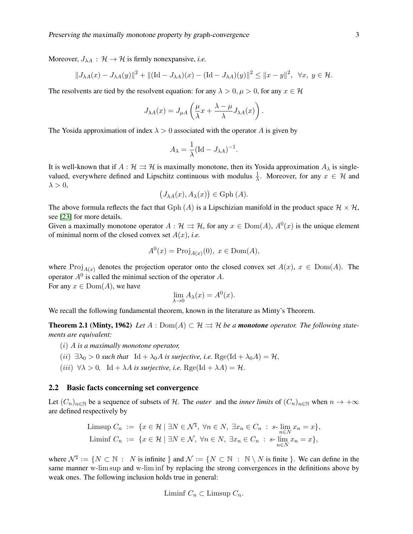Moreover,  $J_{\lambda A}$  :  $\mathcal{H} \rightarrow \mathcal{H}$  is firmly nonexpansive, *i.e.* 

$$
||J_{\lambda A}(x) - J_{\lambda A}(y)||^2 + ||(\text{Id} - J_{\lambda A})(x) - (\text{Id} - J_{\lambda A})(y)||^2 \le ||x - y||^2, \ \forall x, y \in \mathcal{H}.
$$

The resolvents are tied by the resolvent equation: for any  $\lambda > 0, \mu > 0$ , for any  $x \in \mathcal{H}$ 

$$
J_{\lambda A}(x) = J_{\mu A}\left(\frac{\mu}{\lambda}x + \frac{\lambda - \mu}{\lambda}J_{\lambda A}(x)\right).
$$

The Yosida approximation of index  $\lambda > 0$  associated with the operator A is given by

$$
A_{\lambda} = \frac{1}{\lambda} (\text{Id} - J_{\lambda A})^{-1}.
$$

It is well-known that if  $A : \mathcal{H} \rightrightarrows \mathcal{H}$  is maximally monotone, then its Yosida approximation  $A_{\lambda}$  is singlevalued, everywhere defined and Lipschitz continuous with modulus  $\frac{1}{\lambda}$ . Moreover, for any  $x \in \mathcal{H}$  and  $\lambda > 0$ ,

$$
(J_{\lambda A}(x), A_{\lambda}(x)) \in \text{Gph} (A).
$$

The above formula reflects the fact that Gph (A) is a Lipschizian manifold in the product space  $\mathcal{H} \times \mathcal{H}$ , see [23] for more details.

Given a maximally monotone operator  $A : \mathcal{H} \implies \mathcal{H}$ , for any  $x \in \text{Dom}(A)$ ,  $A^{0}(x)$  is the unique element of minimal norm of the closed convex set  $A(x)$ , *i.e.* 

$$
A^{0}(x) = \text{Proj}_{A(x)}(0), \ x \in \text{Dom}(A),
$$

where Proj<sub>A(x)</sub> denotes the projection operator onto the closed convex set  $A(x)$ ,  $x \in Dom(A)$ . The operator  $A^0$  is called the minimal section of the operator A.

For any  $x \in \text{Dom}(A)$ , we have

$$
\lim_{\lambda \to 0} A_{\lambda}(x) = A^{0}(x).
$$

We recall the following fundamental theorem, known in the literature as Minty's Theorem.

**Theorem 2.1 (Minty, 1962)** Let  $A : \text{Dom}(A) \subset \mathcal{H} \Rightarrow \mathcal{H}$  be a **monotone** operator. The following state*ments are equivalent:*

- (i) A *is a maximally monotone operator,*
- (ii)  $\exists \lambda_0 > 0$  *such that*  $\text{Id} + \lambda_0 A$  *is surjective, i.e.* Rge(Id +  $\lambda_0 A$ ) = H,
- (*iii*)  $\forall \lambda > 0$ , Id +  $\lambda A$  *is surjective, i.e.* Rge(Id +  $\lambda A$ ) =  $\mathcal{H}$ .

#### 2.2 Basic facts concerning set convergence

Let  $(C_n)_{n\in\mathbb{N}}$  be a sequence of subsets of H. The *outer* and the *inner limits* of  $(C_n)_{n\in\mathbb{N}}$  when  $n \to +\infty$ are defined respectively by

$$
\begin{array}{l}\text{Limsup } C_n \ := \ \{ x \in \mathcal{H} \mid \exists N \in \mathcal{N}^\sharp, \ \forall n \in N, \ \exists x_n \in C_n \ : \ s \text{-} \lim_{n \in N} x_n = x \},\\ \text{Liminf } C_n \ := \ \{ x \in \mathcal{H} \mid \exists N \in \mathcal{N}, \ \forall n \in N, \ \exists x_n \in C_n \ : \ s \text{-} \lim_{n \in N} x_n = x \},\end{array}
$$

where  $\mathcal{N}^{\sharp} := \{ N \subset \mathbb{N} : N \text{ is infinite } \}$  and  $\mathcal{N} := \{ N \subset \mathbb{N} : \mathbb{N} \setminus N \text{ is finite } \}$ . We can define in the same manner w-lim sup and w-lim inf by replacing the strong convergences in the definitions above by weak ones. The following inclusion holds true in general:

$$
Limit C_n \subset Limsup C_n.
$$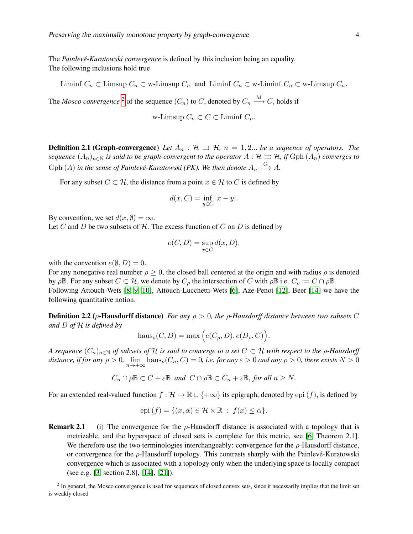The *Painlevé-Kuratowski convergence* is defined by this inclusion being an equality. The following inclusions hold true

Liminf  $C_n \subset \text{Limsup } C_n \subset \text{w-Limsup } C_n$  and Liminf  $C_n \subset \text{w-Limsup } C_n$ .

The *Mosco convergence* <sup>2</sup> of the sequence  $(C_n)$  to  $C$ , denoted by  $C_n \stackrel{\text{M}}{\longrightarrow} C$ , holds if

w-Limsup  $C_n \subset C \subset$  Liminf  $C_n$ .

**Definition 2.1 (Graph-convergence)** Let  $A_n : \mathcal{H} \implies \mathcal{H}$ ,  $n = 1, 2...$  be a sequence of operators. The *sequence*  $(A_n)_{n\in\mathbb{N}}$  *is said to be graph-convergent to the operator*  $A : \mathcal{H} \rightrightarrows \mathcal{H}$ *, if* Gph  $(A_n)$  *converges to* Gph  $(A)$  in the sense of Painlevé-Kuratowski (PK). We then denote  $A_n \stackrel{G}{\longrightarrow} A$ .

For any subset  $C \subset \mathcal{H}$ , the distance from a point  $x \in \mathcal{H}$  to C is defined by

$$
d(x, C) = \inf_{y \in C} |x - y|.
$$

By convention, we set  $d(x, \emptyset) = \infty$ .

Let C and D be two subsets of  $H$ . The excess function of C on D is defined by

$$
e(C, D) = \sup_{x \in C} d(x, D),
$$

with the convention  $e(\emptyset, D) = 0$ .

For any nonegative real number  $\rho > 0$ , the closed ball centered at the origin and with radius  $\rho$  is denoted by  $\rho \mathbb{B}$ . For any subset  $C \subset \mathcal{H}$ , we denote by  $C_{\rho}$  the intersection of C with  $\rho \mathbb{B}$  i.e.  $C_{\rho} := C \cap \rho \mathbb{B}$ . Following Attouch-Wets [8, 9, 10], Attouch-Lucchetti-Wets [6], Aze-Penot [12], Beer [14] we have the following quantitative notion.

Definition 2.2 (ρ-Hausdorff distance) *For any* ρ > 0*, the* ρ*-Hausdorff distance between two subsets* C *and* D *of* H *is defined by*

$$
haus_{\rho}(C, D) = max(e(C_{\rho}, D), e(D_{\rho}, C)).
$$

*A sequence*  $(C_n)_{n\in\mathbb{N}}$  *of subsets of* H *is said to converge to a set*  $C \subset \mathcal{H}$  *with respect to the*  $\rho$ *-Hausdorff distance, if for any*  $\rho > 0$ ,  $\lim_{n \to +\infty} h\text{aus}_{\rho}(C_n, C) = 0$ , *i.e. for any*  $\varepsilon > 0$  *and any*  $\rho > 0$ , *there exists*  $N > 0$ 

$$
C_n \cap \rho \mathbb{B} \subset C + \varepsilon \mathbb{B}
$$
 and  $C \cap \rho \mathbb{B} \subset C_n + \varepsilon \mathbb{B}$ , for all  $n \geq N$ .

For an extended real-valued function  $f : \mathcal{H} \to \mathbb{R} \cup \{+\infty\}$  its epigraph, denoted by epi  $(f)$ , is defined by

$$
epi (f) = \{ (x, \alpha) \in \mathcal{H} \times \mathbb{R} : f(x) \leq \alpha \}.
$$

**Remark 2.1** (i) The convergence for the  $\rho$ -Hausdorff distance is associated with a topology that is metrizable, and the hyperspace of closed sets is complete for this metric, see [6, Theorem 2.1]. We therefore use the two terminologies interchangeably: convergence for the ρ-Hausdorff distance, or convergence for the  $\rho$ -Hausdorff topology. This contrasts sharply with the Painlevé-Kuratowski convergence which is associated with a topology only when the underlying space is locally compact (see e.g. [3, section 2.8], [14], [21]).

<sup>&</sup>lt;sup>2</sup> In general, the Mosco convergence is used for sequences of closed convex sets, since it necessarily implies that the limit set is weakly closed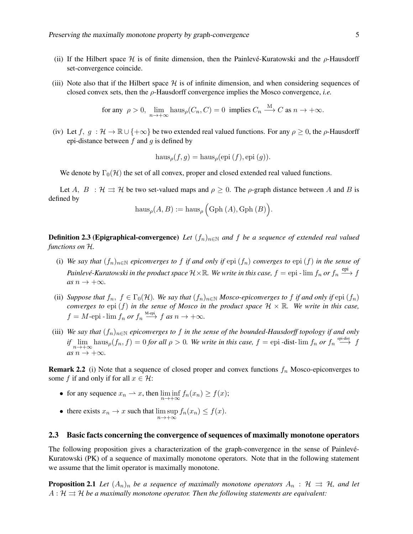- (ii) If the Hilbert space  $H$  is of finite dimension, then the Painlevé-Kuratowski and the  $\rho$ -Hausdorff set-convergence coincide.
- (iii) Note also that if the Hilbert space  $\mathcal H$  is of infinite dimension, and when considering sequences of closed convex sets, then the ρ-Hausdorff convergence implies the Mosco convergence, *i.e.*

for any 
$$
\rho > 0
$$
,  $\lim_{n \to +\infty} \text{haus}_{\rho}(C_n, C) = 0$  implies  $C_n \xrightarrow{M} C$  as  $n \to +\infty$ .

(iv) Let  $f, g : \mathcal{H} \to \mathbb{R} \cup \{+\infty\}$  be two extended real valued functions. For any  $\rho \geq 0$ , the  $\rho$ -Hausdorff epi-distance between  $f$  and  $g$  is defined by

$$
\operatorname{haus}_{\rho}(f,g) = \operatorname{haus}_{\rho}(\operatorname{epi}(f), \operatorname{epi}(g)).
$$

We denote by  $\Gamma_0(\mathcal{H})$  the set of all convex, proper and closed extended real valued functions.

Let A,  $B : \mathcal{H} \Rightarrow \mathcal{H}$  be two set-valued maps and  $\rho \geq 0$ . The  $\rho$ -graph distance between A and B is defined by

$$
\mathrm{haus}_{\rho}(A, B) := \mathrm{haus}_{\rho} \left( \mathrm{Gph}\,(A), \mathrm{Gph}\,(B) \right).
$$

**Definition 2.3 (Epigraphical-convergence)** *Let*  $(f_n)_{n\in\mathbb{N}}$  *and*  $f$  *be a sequence of extended real valued functions on* H*.*

- (i) *We say that*  $(f_n)_{n\in\mathbb{N}}$  *epiconverges to* f *if and only if* epi  $(f_n)$  *converges to* epi  $(f)$  *in the sense of*  $Painlev\'e-Kuratowski$  in the product space  $\mathcal H\times\mathbb R.$  We write in this case,  $f=\mathrm{epi}$  -  $\lim f_n$  or  $f_n\stackrel{\mathrm{epi}}{\longrightarrow} f$  $as n \rightarrow +\infty$ *.*
- (ii) *Suppose that*  $f_n$ ,  $f \in \Gamma_0(\mathcal{H})$ *. We say that*  $(f_n)_{n \in \mathbb{N}}$  *Mosco-epiconverges to* f *if and only if* epi  $(f_n)$ *converges to* epi  $(f)$  *in the sense of Mosco in the product space*  $H \times \mathbb{R}$ *. We write in this case,*  $f = M$ -epi -  $\lim f_n$  *or*  $f_n \stackrel{\text{M-epi}}{\longrightarrow} f$  *as*  $n \to +\infty$ *.*
- (iii) We say that  $(f_n)_{n\in\mathbb{N}}$  epiconverges to f in the sense of the bounded-Hausdorff topology if and only *if*  $\lim_{n\to+\infty}$  haus<sub>*p*</sub>(*f<sub>n</sub>, f*) = 0 *for all*  $\rho > 0$ . We write in this case, *f* = epi -dist-  $\lim f_n$  *or*  $f_n \stackrel{\text{epi-dist}}{\longrightarrow} f$  $as n \rightarrow +\infty$ *.*

**Remark 2.2** (i) Note that a sequence of closed proper and convex functions  $f_n$  Mosco-epiconverges to some f if and only if for all  $x \in \mathcal{H}$ :

- for any sequence  $x_n \rightharpoonup x$ , then  $\liminf_{n \to +\infty} f_n(x_n) \ge f(x)$ ;
- there exists  $x_n \to x$  such that  $\limsup_{n \to +\infty} f_n(x_n) \le f(x)$ .

#### 2.3 Basic facts concerning the convergence of sequences of maximally monotone operators

The following proposition gives a characterization of the graph-convergence in the sense of Painlevé-Kuratowski (PK) of a sequence of maximally monotone operators. Note that in the following statement we assume that the limit operator is maximally monotone.

**Proposition 2.1** Let  $(A_n)_n$  be a sequence of maximally monotone operators  $A_n : \mathcal{H} \implies \mathcal{H}$ , and let  $A: \mathcal{H} \rightrightarrows \mathcal{H}$  *be a maximally monotone operator. Then the following statements are equivalent:*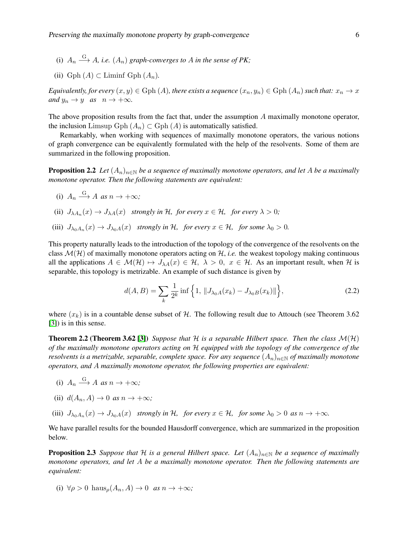- (i)  $A_n \stackrel{G}{\longrightarrow} A$ , *i.e.*  $(A_n)$  *graph-converges to* A *in the sense of PK*;
- (ii)  $Gph(A) \subset Liminf Gph(A_n)$ .

*Equivalently, for every*  $(x, y) \in \text{Gph}(A)$ *, there exists a sequence*  $(x_n, y_n) \in \text{Gph}(A_n)$  *such that:*  $x_n \to x$ *and*  $y_n \to y$  *as*  $n \to +\infty$ *.* 

The above proposition results from the fact that, under the assumption A maximally monotone operator, the inclusion Limsup Gph  $(A_n) \subset$  Gph  $(A)$  is automatically satisfied.

Remarkably, when working with sequences of maximally monotone operators, the various notions of graph convergence can be equivalently formulated with the help of the resolvents. Some of them are summarized in the following proposition.

**Proposition 2.2** *Let*  $(A_n)_{n\in\mathbb{N}}$  *be a sequence of maximally monotone operators, and let* A *be a maximally monotone operator. Then the following statements are equivalent:*

- (i)  $A_n \xrightarrow{G} A \text{ as } n \to +\infty;$
- (ii)  $J_{\lambda A_n}(x) \to J_{\lambda A}(x)$  *strongly in H, for every*  $x \in \mathcal{H}$ *, for every*  $\lambda > 0$ *;*
- (iii)  $J_{\lambda_0 A_n}(x) \to J_{\lambda_0 A}(x)$  *strongly in* H, *for every*  $x \in \mathcal{H}$ *, for some*  $\lambda_0 > 0$ *.*

This property naturally leads to the introduction of the topology of the convergence of the resolvents on the class  $\mathcal{M}(\mathcal{H})$  of maximally monotone operators acting on  $\mathcal{H}$ , *i.e.* the weakest topology making continuous all the applications  $A \in \mathcal{M}(\mathcal{H}) \mapsto J_{\lambda A}(x) \in \mathcal{H}, \lambda > 0, x \in \mathcal{H}$ . As an important result, when H is separable, this topology is metrizable. An example of such distance is given by

$$
d(A, B) = \sum_{k} \frac{1}{2^{k}} \inf \left\{ 1, \|J_{\lambda_{0}A}(x_{k}) - J_{\lambda_{0}B}(x_{k})\| \right\},\tag{2.2}
$$

where  $(x_k)$  is in a countable dense subset of H. The following result due to Attouch (see Theorem 3.62) [3]) is in this sense.

**Theorem 2.2 (Theorem 3.62 [3])** *Suppose that*  $H$  *is a separable Hilbert space. Then the class*  $M(H)$ *of the maximally monotone operators acting on* H *equipped with the topology of the convergence of the resolvents is a metrizable, separable, complete space. For any sequence*  $(A_n)_{n\in\mathbb{N}}$  *of maximally monotone operators, and* A *maximally monotone operator, the following properties are equivalent:*

- (i)  $A_n \xrightarrow{G} A \text{ as } n \to +\infty;$
- (ii)  $d(A_n, A) \to 0$  *as*  $n \to +\infty$ ;
- (iii)  $J_{\lambda_0 A_n}(x) \to J_{\lambda_0 A}(x)$  *strongly in* H, *for every*  $x \in \mathcal{H}$ , *for some*  $\lambda_0 > 0$  *as*  $n \to +\infty$ *.*

We have parallel results for the bounded Hausdorff convergence, which are summarized in the proposition below.

**Proposition 2.3** *Suppose that* H *is a general Hilbert space. Let*  $(A_n)_{n\in\mathbb{N}}$  *be a sequence of maximally monotone operators, and let* A *be a maximally monotone operator. Then the following statements are equivalent:*

(i)  $\forall \rho > 0$  haus<sub> $\rho$ </sub> $(A_n, A) \rightarrow 0$  *as*  $n \rightarrow +\infty$ ;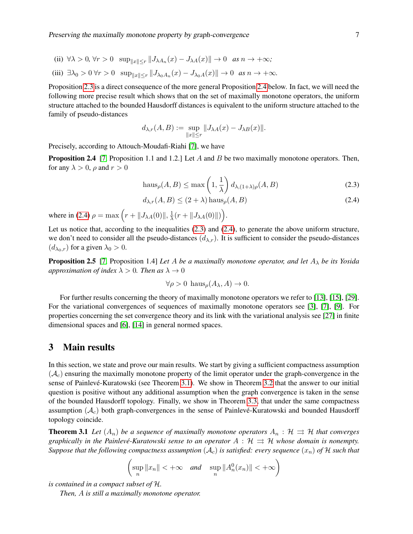- (ii)  $\forall \lambda > 0$ ,  $\forall r > 0$   $\sup_{\|x\| \le r} \|J_{\lambda A_n}(x) J_{\lambda A}(x)\| \to 0$  *as*  $n \to +\infty$ ;
- (iii)  $\exists \lambda_0 > 0 \,\forall r > 0 \, \sup_{\|x\| \le r} \|J_{\lambda_0 A_n}(x) J_{\lambda_0 A}(x)\| \to 0 \, \text{ as } n \to +\infty.$

Proposition 2.3 is a direct consequence of the more general Proposition 2.4 below. In fact, we will need the following more precise result which shows that on the set of maximally monotone operators, the uniform structure attached to the bounded Hausdorff distances is equivalent to the uniform structure attached to the family of pseudo-distances

$$
d_{\lambda,r}(A,B) := \sup_{\|x\| \le r} \|J_{\lambda A}(x) - J_{\lambda B}(x)\|.
$$

Precisely, according to Attouch-Moudafi-Riahi [7], we have

**Proposition 2.4** [7, Proposition 1.1 and 1.2.] Let  $A$  and  $B$  be two maximally monotone operators. Then, for any  $\lambda > 0$ ,  $\rho$  and  $r > 0$ 

$$
\text{haus}_{\rho}(A, B) \le \max\left(1, \frac{1}{\lambda}\right) d_{\lambda, (1+\lambda)\rho}(A, B) \tag{2.3}
$$

$$
d_{\lambda,r}(A,B) \le (2+\lambda)\operatorname{haus}_{\rho}(A,B) \tag{2.4}
$$

where in (2.4)  $\rho = \max (r + ||J_{\lambda A}(0)||, \frac{1}{\lambda})$  $\frac{1}{\lambda}(r+\|J_{\lambda A}(0)\|)\Big).$ 

Let us notice that, according to the inequalities (2.3) and (2.4), to generate the above uniform structure, we don't need to consider all the pseudo-distances  $(d_{\lambda,r})$ . It is sufficient to consider the pseudo-distances  $(d_{\lambda_0,r})$  for a given  $\lambda_0 > 0$ .

**Proposition 2.5** [7, Proposition 1.4] *Let* A *be a maximally monotone operator, and let*  $A_{\lambda}$  *be its Yosida approximation of index*  $\lambda > 0$ *. Then as*  $\lambda \to 0$ 

$$
\forall \rho > 0
$$
haus <sub>$\rho$</sub>  $(A_{\lambda}, A) \rightarrow 0$ .

For further results concerning the theory of maximally monotone operators we refer to [13], [15], [29]. For the variational convergences of sequences of maximally monotone operators see [3], [7], [9]. For properties concerning the set convergence theory and its link with the variational analysis see [27] in finite dimensional spaces and [6], [14] in general normed spaces.

#### 3 Main results

In this section, we state and prove our main results. We start by giving a sufficient compactness assumption  $(\mathcal{A}_c)$  ensuring the maximally monotone property of the limit operator under the graph-convergence in the sense of Painlevé-Kuratowski (see Theorem 3.1). We show in Theorem 3.2 that the answer to our initial question is positive without any additional assumption when the graph convergence is taken in the sense of the bounded Hausdorff topology. Finally, we show in Theorem 3.3, that under the same compactness assumption  $(\mathcal{A}_c)$  both graph-convergences in the sense of Painlevé-Kuratowski and bounded Hausdorff topology coincide.

**Theorem 3.1** Let  $(A_n)$  be a sequence of maximally monotone operators  $A_n : \mathcal{H} \implies \mathcal{H}$  that converges *graphically in the Painlevé-Kuratowski sense to an operator*  $\overline{A}$  :  $\overline{A}$   $\Rightarrow$   $\overline{A}$  *whose domain is nonempty. Suppose that the following compactness assumption*  $(A_c)$  *is satisfied: every sequence*  $(x_n)$  *of* H *such that* 

$$
\left(\sup_n \|x_n\| < +\infty \quad \text{and} \quad \sup_n \|A_n^0(x_n)\| < +\infty\right)
$$

*is contained in a compact subset of* H*.*

*Then,* A *is still a maximally monotone operator.*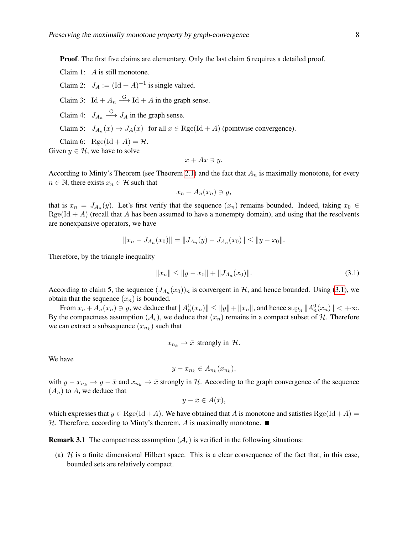Proof. The first five claims are elementary. Only the last claim 6 requires a detailed proof.

Claim 1: A is still monotone.

Claim 2:  $J_A := (\text{Id} + A)^{-1}$  is single valued.

Claim 3:  $\text{Id} + A_n \xrightarrow{\text{G}} \text{Id} + A$  in the graph sense.

Claim 4:  $J_{A_n} \xrightarrow{G} J_A$  in the graph sense.

Claim 5: 
$$
J_{A_n}(x) \to J_A(x)
$$
 for all  $x \in \text{Rge}(\text{Id} + A)$  (pointwise convergence).

Claim 6: Rge(Id + A) =  $\mathcal{H}$ .

Given  $y \in \mathcal{H}$ , we have to solve

$$
x + Ax \ni y.
$$

According to Minty's Theorem (see Theorem 2.1) and the fact that  $A_n$  is maximally monotone, for every  $n \in \mathbb{N}$ , there exists  $x_n \in \mathcal{H}$  such that

$$
x_n + A_n(x_n) \ni y,
$$

that is  $x_n = J_{A_n}(y)$ . Let's first verify that the sequence  $(x_n)$  remains bounded. Indeed, taking  $x_0 \in$  $Rge(Id + A)$  (recall that A has been assumed to have a nonempty domain), and using that the resolvents are nonexpansive operators, we have

$$
||x_n - J_{A_n}(x_0)|| = ||J_{A_n}(y) - J_{A_n}(x_0)|| \le ||y - x_0||.
$$

Therefore, by the triangle inequality

$$
||x_n|| \le ||y - x_0|| + ||J_{A_n}(x_0)||. \tag{3.1}
$$

According to claim 5, the sequence  $(J_{A_n}(x_0))_n$  is convergent in H, and hence bounded. Using (3.1), we obtain that the sequence  $(x_n)$  is bounded.

From  $x_n + A_n(x_n) \ni y$ , we deduce that  $||A_n^0(x_n)|| \le ||y|| + ||x_n||$ , and hence  $\sup_n ||A_n^0(x_n)|| < +\infty$ . By the compactness assumption  $(A_c)$ , we deduce that  $(x_n)$  remains in a compact subset of H. Therefore we can extract a subsequence  $(x_{n_k})$  such that

$$
x_{n_k} \to \bar{x} \text{ strongly in } \mathcal{H}.
$$

We have

$$
y - x_{n_k} \in A_{n_k}(x_{n_k}),
$$

with  $y - x_{n_k} \to y - \bar{x}$  and  $x_{n_k} \to \bar{x}$  strongly in H. According to the graph convergence of the sequence  $(A_n)$  to A, we deduce that

$$
y - \bar{x} \in A(\bar{x}),
$$

which expresses that  $y \in \text{Rge}(\text{Id} + A)$ . We have obtained that A is monotone and satisfies  $\text{Rge}(\text{Id} + A)$  $H$ . Therefore, according to Minty's theorem, A is maximally monotone.

**Remark 3.1** The compactness assumption  $(A<sub>c</sub>)$  is verified in the following situations:

(a)  $H$  is a finite dimensional Hilbert space. This is a clear consequence of the fact that, in this case, bounded sets are relatively compact.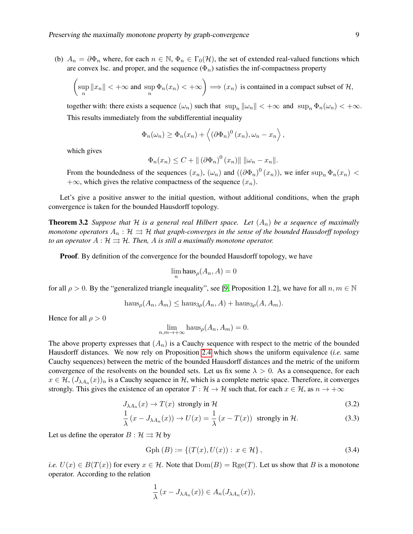(b)  $A_n = \partial \Phi_n$  where, for each  $n \in \mathbb{N}$ ,  $\Phi_n \in \Gamma_0(\mathcal{H})$ , the set of extended real-valued functions which are convex lsc. and proper, and the sequence  $(\Phi_n)$  satisfies the inf-compactness property

$$
\left(\sup_n\|x_n\|<+\infty\text{ and }\sup_n\Phi_n(x_n)<+\infty\right)\Longrightarrow (x_n)\text{ is contained in a compact subset of }\mathcal{H},
$$

together with: there exists a sequence  $(\omega_n)$  such that  $\sup_n ||\omega_n|| < +\infty$  and  $\sup_n \Phi_n(\omega_n) < +\infty$ . This results immediately from the subdifferential inequality

$$
\Phi_n(\omega_n) \ge \Phi_n(x_n) + \left\langle (\partial \Phi_n)^0 (x_n), \omega_n - x_n \right\rangle,
$$

which gives

$$
\Phi_n(x_n) \leq C + ||(\partial \Phi_n)^0 (x_n)|| ||\omega_n - x_n||.
$$

From the boundedness of the sequences  $(x_n)$ ,  $(\omega_n)$  and  $((\partial \Phi_n)^0(x_n))$ , we infer  $\sup_n \Phi_n(x_n)$  <  $+\infty$ , which gives the relative compactness of the sequence  $(x_n)$ .

Let's give a positive answer to the initial question, without additional conditions, when the graph convergence is taken for the bounded Hausdorff topology.

**Theorem 3.2** *Suppose that*  $H$  *is a general real Hilbert space. Let*  $(A_n)$  *be a sequence of maximally monotone operators*  $A_n : \mathcal{H} \rightrightarrows \mathcal{H}$  *that graph-converges in the sense of the bounded Hausdorff topology to an operator*  $A : \mathcal{H} \rightrightarrows \mathcal{H}$ *. Then,* A *is still a maximally monotone operator.* 

**Proof.** By definition of the convergence for the bounded Hausdorff topology, we have

$$
\lim_n \mathsf{haus}_{\rho}(A_n, A) = 0
$$

for all  $\rho > 0$ . By the "generalized triangle inequality", see [9, Proposition 1.2], we have for all  $n, m \in \mathbb{N}$ 

$$
\mathbf{haus}_{\rho}(A_n, A_m) \le \mathbf{haus}_{3\rho}(A_n, A) + \mathbf{haus}_{3\rho}(A, A_m).
$$

Hence for all  $\rho > 0$ 

 $\lim_{n,m\to+\infty} \text{haus}_{\rho}(A_n, A_m) = 0.$ 

The above property expresses that  $(A_n)$  is a Cauchy sequence with respect to the metric of the bounded Hausdorff distances. We now rely on Proposition 2.4 which shows the uniform equivalence (*i.e.* same Cauchy sequences) between the metric of the bounded Hausdorff distances and the metric of the uniform convergence of the resolvents on the bounded sets. Let us fix some  $\lambda > 0$ . As a consequence, for each  $x \in \mathcal{H}, (J_{\lambda A_n}(x))_n$  is a Cauchy sequence in H, which is a complete metric space. Therefore, it converges strongly. This gives the existence of an operator  $T : \mathcal{H} \to \mathcal{H}$  such that, for each  $x \in \mathcal{H}$ , as  $n \to +\infty$ 

$$
J_{\lambda A_n}(x) \to T(x) \text{ strongly in } \mathcal{H}
$$
\n(3.2)

$$
\frac{1}{\lambda}(x - J_{\lambda A_n}(x)) \to U(x) = \frac{1}{\lambda}(x - T(x)) \text{ strongly in } \mathcal{H}.
$$
 (3.3)

Let us define the operator  $B : \mathcal{H} \rightrightarrows \mathcal{H}$  by

Gph 
$$
(B) := \{(T(x), U(x)) : x \in \mathcal{H}\}\,
$$
 (3.4)

*i.e.*  $U(x) \in B(T(x))$  for every  $x \in \mathcal{H}$ . Note that  $Dom(B) = Reg(T)$ . Let us show that B is a monotone operator. According to the relation

$$
\frac{1}{\lambda}(x - J_{\lambda A_n}(x)) \in A_n(J_{\lambda A_n}(x)),
$$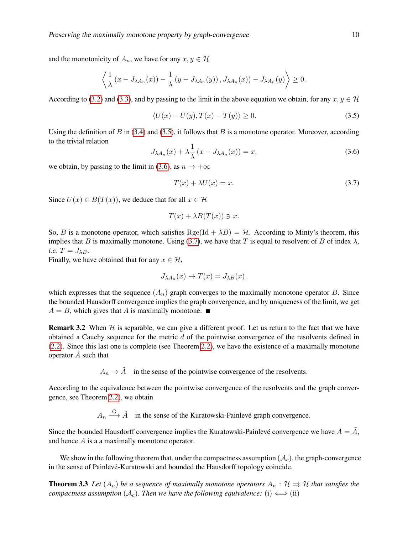and the monotonicity of  $A_n$ , we have for any  $x, y \in \mathcal{H}$ 

$$
\left\langle \frac{1}{\lambda} \left( x - J_{\lambda A_n}(x) \right) - \frac{1}{\lambda} \left( y - J_{\lambda A_n}(y) \right), J_{\lambda A_n}(x) \right\rangle - J_{\lambda A_n}(y) \right\rangle \geq 0.
$$

According to (3.2) and (3.3), and by passing to the limit in the above equation we obtain, for any  $x, y \in \mathcal{H}$ 

$$
\langle U(x) - U(y), T(x) - T(y) \rangle \ge 0. \tag{3.5}
$$

Using the definition of B in  $(3.4)$  and  $(3.5)$ , it follows that B is a monotone operator. Moreover, according to the trivial relation

$$
J_{\lambda A_n}(x) + \lambda \frac{1}{\lambda} (x - J_{\lambda A_n}(x)) = x,\tag{3.6}
$$

we obtain, by passing to the limit in (3.6), as  $n \to +\infty$ 

$$
T(x) + \lambda U(x) = x.
$$
\n(3.7)

Since  $U(x) \in B(T(x))$ , we deduce that for all  $x \in \mathcal{H}$ 

$$
T(x) + \lambda B(T(x)) \ni x.
$$

So, B is a monotone operator, which satisfies  $RegelId + \lambda B) = H$ . According to Minty's theorem, this implies that B is maximally monotone. Using (3.7), we have that T is equal to resolvent of B of index  $\lambda$ , *i.e.*  $T = J_{\lambda B}$ .

Finally, we have obtained that for any  $x \in \mathcal{H}$ ,

$$
J_{\lambda A_n}(x) \to T(x) = J_{\lambda B}(x),
$$

which expresses that the sequence  $(A_n)$  graph converges to the maximally monotone operator B. Since the bounded Hausdorff convergence implies the graph convergence, and by uniqueness of the limit, we get  $A = B$ , which gives that A is maximally monotone.

**Remark 3.2** When  $H$  is separable, we can give a different proof. Let us return to the fact that we have obtained a Cauchy sequence for the metric  $d$  of the pointwise convergence of the resolvents defined in (2.2). Since this last one is complete (see Theorem 2.2), we have the existence of a maximally monotone operator  $\tilde{A}$  such that

 $A_n \to \tilde{A}$  in the sense of the pointwise convergence of the resolvents.

According to the equivalence between the pointwise convergence of the resolvents and the graph convergence, see Theorem 2.2), we obtain

 $A_n \stackrel{G}{\longrightarrow} \tilde{A}$  in the sense of the Kuratowski-Painlevé graph convergence.

Since the bounded Hausdorff convergence implies the Kuratowski-Painlevé convergence we have  $A = \tilde{A}$ , and hence A is a a maximally monotone operator.

We show in the following theorem that, under the compactness assumption  $(\mathcal{A}_c)$ , the graph-convergence in the sense of Painlevé-Kuratowski and bounded the Hausdorff topology coincide.

**Theorem 3.3** Let  $(A_n)$  be a sequence of maximally monotone operators  $A_n : \mathcal{H} \rightrightarrows \mathcal{H}$  that satisfies the *compactness assumption*  $(A_c)$ *. Then we have the following equivalence:* (i)  $\Longleftrightarrow$  (ii)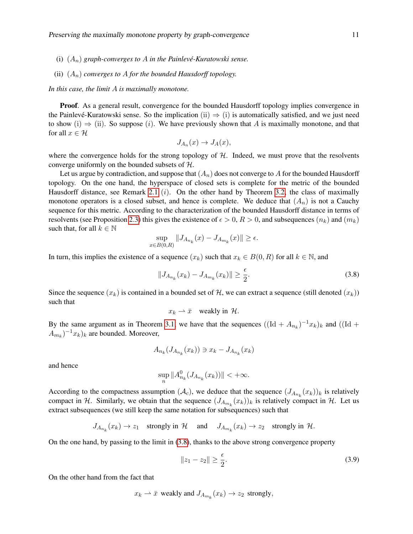- (i)  $(A_n)$  *graph-converges to* A *in the Painlevé-Kuratowski sense.*
- (ii)  $(A_n)$  *converges to A for the bounded Hausdorff topology.*

*In this case, the limit* A *is maximally monotone.*

**Proof.** As a general result, convergence for the bounded Hausdorff topology implies convergence in the Painlevé-Kuratowski sense. So the implication  $(ii) \Rightarrow (i)$  is automatically satisfied, and we just need to show (i)  $\Rightarrow$  (ii). So suppose (i). We have previously shown that A is maximally monotone, and that for all  $x \in \mathcal{H}$ 

$$
J_{A_n}(x) \to J_A(x),
$$

where the convergence holds for the strong topology of  $H$ . Indeed, we must prove that the resolvents converge uniformly on the bounded subsets of H.

Let us argue by contradiction, and suppose that  $(A_n)$  does not converge to A for the bounded Hausdorff topology. On the one hand, the hyperspace of closed sets is complete for the metric of the bounded Hausdorff distance, see Remark 2.1  $(i)$ . On the other hand by Theorem 3.2, the class of maximally monotone operators is a closed subset, and hence is complete. We deduce that  $(A_n)$  is not a Cauchy sequence for this metric. According to the characterization of the bounded Hausdorff distance in terms of resolvents (see Proposition 2.3) this gives the existence of  $\epsilon > 0$ ,  $R > 0$ , and subsequences  $(n_k)$  and  $(m_k)$ such that, for all  $k \in \mathbb{N}$ 

$$
\sup_{x \in B(0,R)} \|J_{A_{n_k}}(x) - J_{A_{m_k}}(x)\| \ge \epsilon.
$$

In turn, this implies the existence of a sequence  $(x_k)$  such that  $x_k \in B(0, R)$  for all  $k \in \mathbb{N}$ , and

$$
||J_{A_{n_k}}(x_k) - J_{A_{m_k}}(x_k)|| \ge \frac{\epsilon}{2}.
$$
\n(3.8)

Since the sequence  $(x_k)$  is contained in a bounded set of H, we can extract a sequence (still denoted  $(x_k)$ ) such that

$$
x_k \to \bar{x}
$$
 weakly in H.

By the same argument as in Theorem 3.1, we have that the sequences  $((Id + A_{n_k})^{-1}x_k)_k$  and  $((Id +$  $(A_{m_k})^{-1}x_k)_k$  are bounded. Moreover,

$$
A_{n_k}(J_{A_{n_k}}(x_k)) \ni x_k - J_{A_{n_k}}(x_k)
$$

and hence

$$
\sup_n \|A_{n_k}^0 (J_{A_{n_k}}(x_k))\| < +\infty.
$$

According to the compactness assumption  $(A_c)$ , we deduce that the sequence  $(J_{A_{n_k}}(x_k))_k$  is relatively compact in H. Similarly, we obtain that the sequence  $(J_{A_{m_k}}(x_k))_k$  is relatively compact in H. Let us extract subsequences (we still keep the same notation for subsequences) such that

$$
J_{A_{n_k}}(x_k) \to z_1 \quad \text{strongly in } \mathcal{H} \quad \text{and} \quad J_{A_{m_k}}(x_k) \to z_2 \quad \text{strongly in } \mathcal{H}.
$$

On the one hand, by passing to the limit in (3.8), thanks to the above strong convergence property

$$
||z_1 - z_2|| \ge \frac{\epsilon}{2}.
$$
\n(3.9)

On the other hand from the fact that

$$
x_k \rightharpoonup \bar{x}
$$
 weakly and  $J_{A_{m_k}}(x_k) \rightharpoonup z_2$  strongly,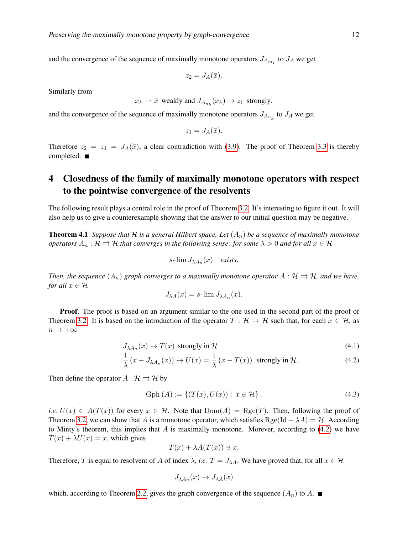and the convergence of the sequence of maximally monotone operators  $J_{A_{m_k}}$  to  $J_A$  we get

$$
z_2=J_A(\bar{x}).
$$

Similarly from

$$
x_k \to \bar{x}
$$
 weakly and  $J_{A_{n_k}}(x_k) \to z_1$  strongly,

and the convergence of the sequence of maximally monotone operators  $J_{A_{n_k}}$  to  $J_A$  we get

$$
z_1 = J_A(\bar{x}).
$$

Therefore  $z_2 = z_1 = J_A(\bar{x})$ , a clear contradiction with (3.9). The proof of Theorem 3.3 is thereby completed. ■

## 4 Closedness of the family of maximally monotone operators with respect to the pointwise convergence of the resolvents

The following result plays a central role in the proof of Theorem 3.2. It's interesting to figure it out. It will also help us to give a counterexample showing that the answer to our initial question may be negative.

**Theorem 4.1** *Suppose that* H *is a general Hilbert space. Let*  $(A_n)$  *be a sequence of maximally monotone operators*  $A_n : \mathcal{H} \rightrightarrows \mathcal{H}$  *that converges in the following sense: for some*  $\lambda > 0$  *and for all*  $x \in \mathcal{H}$ 

$$
s\text{-}\lim J_{\lambda A_n}(x) \quad exists.
$$

*Then, the sequence*  $(A_n)$  *graph converges to a maximally monotone operator*  $A : H \rightrightarrows H$ *, and we have, for all*  $x \in \mathcal{H}$ 

$$
J_{\lambda A}(x) = s \cdot \lim J_{\lambda A_n}(x).
$$

Proof. The proof is based on an argument similar to the one used in the second part of the proof of Theorem 3.2. It is based on the introduction of the operator  $T : \mathcal{H} \to \mathcal{H}$  such that, for each  $x \in \mathcal{H}$ , as  $n\to +\infty$ 

$$
J_{\lambda A_n}(x) \to T(x) \text{ strongly in } \mathcal{H}
$$
\n(4.1)

$$
\frac{1}{\lambda} (x - J_{\lambda A_n}(x)) \to U(x) = \frac{1}{\lambda} (x - T(x)) \text{ strongly in } \mathcal{H}.
$$
 (4.2)

Then define the operator  $A : \mathcal{H} \rightrightarrows \mathcal{H}$  by

Gph (A) := {
$$
(T(x), U(x)) : x \in \mathcal{H}
$$
}, (4.3)

*i.e.*  $U(x) \in A(T(x))$  for every  $x \in \mathcal{H}$ . Note that  $Dom(A) = Reg(T)$ . Then, following the proof of Theorem 3.2, we can show that A is a monotone operator, which satisfies  $\text{Rge}([d + \lambda A) = H$ . According to Minty's theorem, this implies that A is maximally monotone. Morever, according to  $(4.2)$  we have  $T(x) + \lambda U(x) = x$ , which gives

$$
T(x) + \lambda A(T(x)) \ni x.
$$

Therefore, T is equal to resolvent of A of index  $\lambda$ , *i.e.*  $T = J_{\lambda A}$ . We have proved that, for all  $x \in \mathcal{H}$ 

$$
J_{\lambda A_n}(x)\to J_{\lambda A}(x)
$$

which, according to Theorem 2.2, gives the graph convergence of the sequence  $(A_n)$  to A.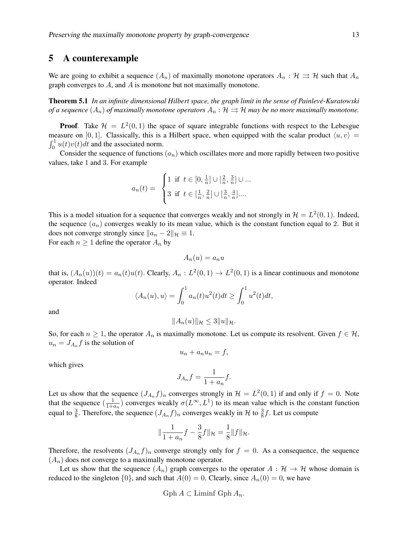#### 5 A counterexample

We are going to exhibit a sequence  $(A_n)$  of maximally monotone operators  $A_n : \mathcal{H} \rightrightarrows \mathcal{H}$  such that  $A_n$ graph converges to  $A$ , and  $A$  is monotone but not maximally monotone.

Theorem 5.1 *In an infinite dimensional Hilbert space, the graph limit in the sense of Painleve-Kuratowski ´ of a sequence*  $(A_n)$  *of maximally monotone operators*  $A_n : \mathcal{H} \rightrightarrows \mathcal{H}$  *may be no more maximally monotone.* 

**Proof.** Take  $\mathcal{H} = L^2(0,1)$  the space of square integrable functions with respect to the Lebesgue measure on [0, 1]. Classically, this is a Hilbert space, when equipped with the scalar product  $\langle u, v \rangle =$  $\int_0^1 u(t)v(t)dt$  and the associated norm.

Consider the sequence of functions  $(a_n)$  which oscillates more and more rapidly between two positive values, take 1 and 3. For example

$$
a_n(t) = \begin{cases} 1 & \text{if } t \in [0, \frac{1}{n}] \cup [\frac{2}{n}, \frac{3}{n}] \cup ... \\ 3 & \text{if } t \in [\frac{1}{n}, \frac{2}{n}] \cup [\frac{3}{n}, \frac{4}{n}].... \end{cases}
$$

This is a model situation for a sequence that converges weakly and not strongly in  $\mathcal{H} = L^2(0, 1)$ . Indeed, the sequence  $(a_n)$  converges weakly to its mean value, which is the constant function equal to 2. But it does not converge strongly since  $||a_n - 2||_{\mathcal{H}} \equiv 1$ .

For each  $n \geq 1$  define the operator  $A_n$  by

 $A_n(u) = a_n u$ 

that is,  $(A_n(u))(t) = a_n(t)u(t)$ . Clearly,  $A_n: L^2(0,1) \to L^2(0,1)$  is a linear continuous and monotone operator. Indeed

$$
\langle A_n(u), u \rangle = \int_0^1 a_n(t)u^2(t)dt \ge \int_0^1 u^2(t)dt,
$$

and

$$
||A_n(u)||_{\mathcal{H}} \leq 3||u||_{\mathcal{H}}.
$$

So, for each  $n \geq 1$ , the operator  $A_n$  is maximally monotone. Let us compute its resolvent. Given  $f \in \mathcal{H}$ ,  $u_n = J_{A_n} f$  is the solution of

$$
u_n + a_n u_n = f,
$$

which gives

$$
J_{A_n}f = \frac{1}{1 + a_n}f.
$$

Let us show that the sequence  $(J_{A_n}f)_n$  converges strongly in  $\mathcal{H} = L^2(0,1)$  if and only if  $f = 0$ . Note that the sequence  $\left(\frac{1}{1+t}\right)$  $\frac{1}{1+a_n}$ ) converges weakly  $\sigma(L^{\infty}, L^1)$  to its mean value which is the constant function equal to  $\frac{3}{8}$ . Therefore, the sequence  $(J_{A_n}f)_n$  converges weakly in H to  $\frac{3}{8}f$ . Let us compute

$$
\|\frac{1}{1+a_n}f - \frac{3}{8}f\|_{\mathcal{H}} = \frac{1}{8}\|f\|_{\mathcal{H}}.
$$

Therefore, the resolvents  $(J_{A_n}f)_n$  converge strongly only for  $f = 0$ . As a consequence, the sequence  $(A_n)$  does not converge to a maximally monotone operator.

Let us show that the sequence  $(A_n)$  graph converges to the operator  $A : \mathcal{H} \to \mathcal{H}$  whose domain is reduced to the singleton  $\{0\}$ , and such that  $A(0) = 0$ . Clearly, since  $A_n(0) = 0$ , we have

Gph 
$$
A \subset
$$
 Limit Gph  $A_n$ .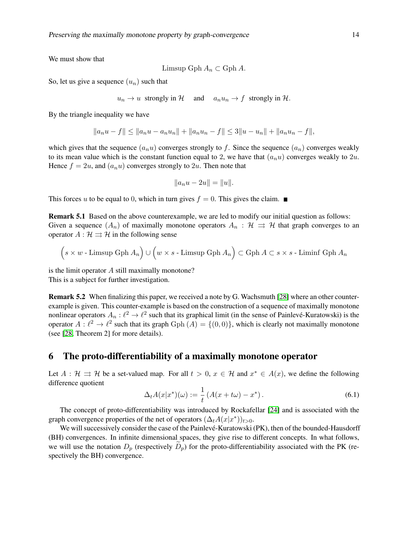We must show that

$$
Limsup Gph A_n \subset Gph A.
$$

So, let us give a sequence  $(u_n)$  such that

$$
u_n \to u
$$
 strongly in H and  $a_n u_n \to f$  strongly in H.

By the triangle inequality we have

$$
||a_nu - f|| \le ||a_nu - a_nu_n|| + ||a_nu_n - f|| \le 3||u - u_n|| + ||a_nu_n - f||,
$$

which gives that the sequence  $(a_nu)$  converges strongly to f. Since the sequence  $(a_n)$  converges weakly to its mean value which is the constant function equal to 2, we have that  $(a_nu)$  converges weakly to  $2u$ . Hence  $f = 2u$ , and  $(a_n u)$  converges strongly to 2u. Then note that

$$
||a_nu - 2u|| = ||u||.
$$

This forces u to be equal to 0, which in turn gives  $f = 0$ . This gives the claim.

Remark 5.1 Based on the above counterexample, we are led to modify our initial question as follows: Given a sequence  $(A_n)$  of maximally monotone operators  $A_n : \mathcal{H} \implies \mathcal{H}$  that graph converges to an operator  $A : \mathcal{H} \rightrightarrows \mathcal{H}$  in the following sense

$$
(s \times w - \text{Limsup Gph } A_n) \cup (w \times s - \text{Limsup Gph } A_n) \subset \text{Gph } A \subset s \times s - \text{Liminf Gph } A_n
$$

is the limit operator  $A$  still maximally monotone? This is a subject for further investigation.

Remark 5.2 When finalizing this paper, we received a note by G. Wachsmuth [28] where an other counterexample is given. This counter-example is based on the construction of a sequence of maximally monotone nonlinear operators  $A_n: \ell^2 \to \ell^2$  such that its graphical limit (in the sense of Painlevé-Kuratowski) is the operator  $A: \ell^2 \to \ell^2$  such that its graph Gph  $(A) = \{(0,0)\}\)$ , which is clearly not maximally monotone (see [28, Theorem 2] for more details).

#### 6 The proto-differentiability of a maximally monotone operator

Let  $A : \mathcal{H} \implies \mathcal{H}$  be a set-valued map. For all  $t > 0$ ,  $x \in \mathcal{H}$  and  $x^* \in A(x)$ , we define the following difference quotient

$$
\Delta_t A(x|x^*)(\omega) := \frac{1}{t} \left( A(x + t\omega) - x^* \right). \tag{6.1}
$$

The concept of proto-differentiability was introduced by Rockafellar [24] and is associated with the graph convergence properties of the net of operators  $(\Delta_t A(x|x^*))_{t>0}$ .

We will successively consider the case of the Painlevé-Kuratowski (PK), then of the bounded-Hausdorff (BH) convergences. In infinite dimensional spaces, they give rise to different concepts. In what follows, we will use the notation  $D_p$  (respectively  $D_p$ ) for the proto-differentiability associated with the PK (respectively the BH) convergence.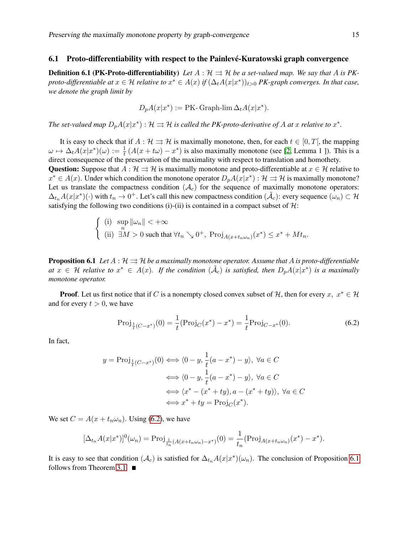#### 6.1 Proto-differentiability with respect to the Painlevé-Kuratowski graph convergence

**Definition 6.1 (PK-Proto-differentiability)** Let  $A : \mathcal{H} \Rightarrow \mathcal{H}$  be a set-valued map. We say that A is PK*proto-differentiable at*  $x \in H$  *relative to*  $x^* \in A(x)$  *if*  $(\Delta_t A(x|x^*))_{t>0}$  *PK-graph converges. In that case, we denote the graph limit by*

$$
D_p A(x|x^*) := PK\text{- Graph-lim }\Delta_t A(x|x^*).
$$

*The set-valued map*  $D_pA(x|x^*) : \mathcal{H} \rightrightarrows \mathcal{H}$  is called the PK-proto-derivative of A at x relative to  $x^*$ .

It is easy to check that if  $A : \mathcal{H} \rightrightarrows \mathcal{H}$  is maximally monotone, then, for each  $t \in [0, T]$ , the mapping  $\omega \mapsto \Delta_t A(x|x^*)(\omega) := \frac{1}{t} (A(x + t\omega) - x^*)$  is also maximally monotone (see [2, Lemma 1 ]). This is a direct consequence of the preservation of the maximality with respect to translation and homothety.

Question: Suppose that  $A : \mathcal{H} \rightrightarrows \mathcal{H}$  is maximally monotone and proto-differentiable at  $x \in \mathcal{H}$  relative to  $x^* \in A(x)$ . Under which condition the monotone operator  $D_p A(x|x^*) : \mathcal{H} \rightrightarrows \mathcal{H}$  is maximally monotone? Let us translate the compactness condition  $(A<sub>c</sub>)$  for the sequence of maximally monotone operators:  $\Delta_{t_n}A(x|x^*)(\cdot)$  with  $t_n \to 0^+$ . Let's call this new compactness condition  $(\tilde{\mathcal{A}}_c)$ : every sequence  $(\omega_n) \subset \mathcal{H}$ satisfying the following two conditions (i)-(ii) is contained in a compact subset of  $H$ :

$$
\begin{cases} \n(i) \quad \sup_{n} \|\omega_{n}\| < +\infty \\ \n(ii) \quad \exists M > 0 \text{ such that } \forall t_{n} \searrow 0^{+}, \text{ Proj}_{A(x+t_{n}\omega_{n})}(x^{*}) \leq x^{*} + Mt_{n}.\n\end{cases}
$$

**Proposition 6.1** *Let*  $A : \mathcal{H} \rightrightarrows \mathcal{H}$  *be a maximally monotone operator. Assume that* A *is proto-differentiable at*  $x$  ∈ H *relative to*  $x^*$  ∈  $A(x)$ . If the condition  $(\tilde{A}_c)$  is satisfied, then  $D_pA(x|x^*)$  is a maximally *monotone operator.*

**Proof.** Let us first notice that if C is a nonempty closed convex subset of H, then for every  $x, x^* \in \mathcal{H}$ and for every  $t > 0$ , we have

$$
\text{Proj}_{\frac{1}{t}(C-x^*)}(0) = \frac{1}{t}(\text{Proj}_C(x^*) - x^*) = \frac{1}{t}\text{Proj}_{C-x^*}(0). \tag{6.2}
$$

In fact,

$$
y = \text{Proj}_{\frac{1}{t}(C-x^*)}(0) \iff \langle 0 - y, \frac{1}{t}(a - x^*) - y \rangle, \ \forall a \in C
$$

$$
\iff \langle 0 - y, \frac{1}{t}(a - x^*) - y \rangle, \ \forall a \in C
$$

$$
\iff \langle x^* - (x^* + ty), a - (x^* + ty) \rangle, \ \forall a \in C
$$

$$
\iff x^* + ty = \text{Proj}_C(x^*).
$$

We set  $C = A(x + t_n \omega_n)$ . Using (6.2), we have

$$
[\Delta_{t_n} A(x|x^*)]^0(\omega_n) = \text{Proj}_{\frac{1}{t_n}(A(x+t_n\omega_n)-x^*)}(0) = \frac{1}{t_n}(\text{Proj}_{A(x+t_n\omega_n)}(x^*) - x^*).
$$

It is easy to see that condition  $(A_c)$  is satisfied for  $\Delta_{t_n} A(x|x^*)(\omega_n)$ . The conclusion of Proposition 6.1 follows from Theorem 3.1.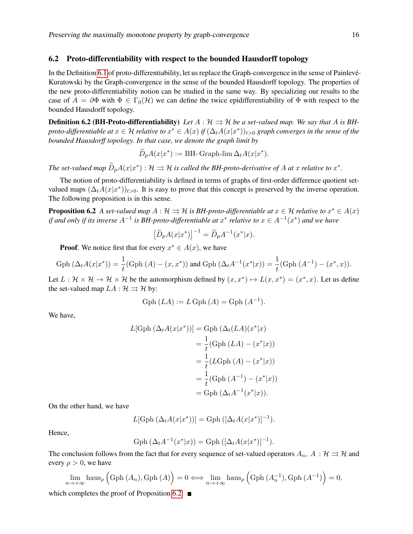#### 6.2 Proto-differentiability with respect to the bounded Hausdorff topology

In the Definition 6.1 of proto-differentiability, let us replace the Graph-convergence in the sense of Painlevé-Kuratowski by the Graph-convergence in the sense of the bounded Hausdorff topology. The properties of the new proto-differentiability notion can be studied in the same way. By specializing our results to the case of  $A = \partial \Phi$  with  $\Phi \in \Gamma_0(\mathcal{H})$  we can define the twice epidifferentiability of  $\Phi$  with respect to the bounded Hausdorff topology.

**Definition 6.2 (BH-Proto-differentiability)** Let  $A : \mathcal{H} \Rightarrow \mathcal{H}$  be a set-valued map. We say that A is BH*proto-differentiable at*  $x \in \mathcal{H}$  *relative to*  $x^* \in A(x)$  *if*  $(\Delta_t A(x|x^*))_{t>0}$  *graph converges in the sense of the bounded Hausdorff topology. In that case, we denote the graph limit by*

$$
\widetilde{D}_p A(x|x^*) := \text{BH-Graph-lim } \Delta_t A(x|x^*).
$$

*The set-valued map*  $\widetilde{D}_pA(x|x^*)$  :  $\mathcal{H} \rightrightarrows \mathcal{H}$  *is called the BH-proto-derivative of A at x relative to*  $x^*$ *.* 

The notion of proto-differentiability is defined in terms of graphs of first-order difference quotient setvalued maps  $(\Delta_t A(x|x^*))_{t>0}$ . It is easy to prove that this concept is preserved by the inverse operation. The following proposition is in this sense.

**Proposition 6.2** *A set-valued map*  $A: \mathcal{H} \rightrightarrows \mathcal{H}$  *is BH-proto-differentiable at*  $x \in \mathcal{H}$  *relative to*  $x^* \in A(x)$ *if and only if its inverse*  $A^{-1}$  *is BH-proto-differentiable at*  $x^*$  *relative to*  $x \in A^{-1}(x^*)$  *and we have* 

$$
\left[\widetilde{D}_p A(x|x^*)\right]^{-1} = \widetilde{D}_p A^{-1}(x^*|x).
$$

**Proof.** We notice first that for every  $x^* \in A(x)$ , we have

Gph 
$$
(\Delta_t A(x|x^*)) = \frac{1}{t} (\text{Gph } (A) - (x, x^*))
$$
 and Gph  $(\Delta_t A^{-1}(x^*|x)) = \frac{1}{t} (\text{Gph } (A^{-1}) - (x^*, x))$ .

Let  $L: \mathcal{H} \times \mathcal{H} \to \mathcal{H} \times \mathcal{H}$  be the automorphism defined by  $(x, x^*) \mapsto L(x, x^*) = (x^*, x)$ . Let us define the set-valued map  $LA : \mathcal{H} \rightrightarrows \mathcal{H}$  by:

Gph 
$$
(LA) := L
$$
Gph  $(A) =$ Gph  $(A^{-1})$ .

We have,

$$
L[\operatorname{Gph} (\Delta_t A(x|x^*))] = \operatorname{Gph} (\Delta_t (LA)(x^*|x)
$$
  
=  $\frac{1}{t} (\operatorname{Gph} (LA) - (x^*|x))$   
=  $\frac{1}{t} (L\operatorname{Gph} (A) - (x^*|x))$   
=  $\frac{1}{t} (\operatorname{Gph} (A^{-1}) - (x^*|x))$   
=  $\operatorname{Gph} (\Delta_t A^{-1}(x^*|x)).$ 

On the other hand, we have

$$
L[\operatorname{Gph}(\Delta_t A(x|x^*))] = \operatorname{Gph}([\Delta_t A(x|x^*)]^{-1}).
$$

Hence,

Gph 
$$
(\Delta_t A^{-1}(x^*|x)) =
$$
Gph  $([\Delta_t A(x|x^*)]^{-1}).$ 

The conclusion follows from the fact that for every sequence of set-valued operators  $A_n$ ,  $A : \mathcal{H} \rightrightarrows \mathcal{H}$  and every  $\rho > 0$ , we have

$$
\lim_{n \to +\infty} \text{haus}_{\rho} \left( \text{Gph} \left( A_n \right), \text{Gph} \left( A \right) \right) = 0 \Longleftrightarrow \lim_{n \to +\infty} \text{haus}_{\rho} \left( \text{Gph} \left( A_n^{-1} \right), \text{Gph} \left( A^{-1} \right) \right) = 0,
$$

which completes the proof of Proposition 6.2.  $\blacksquare$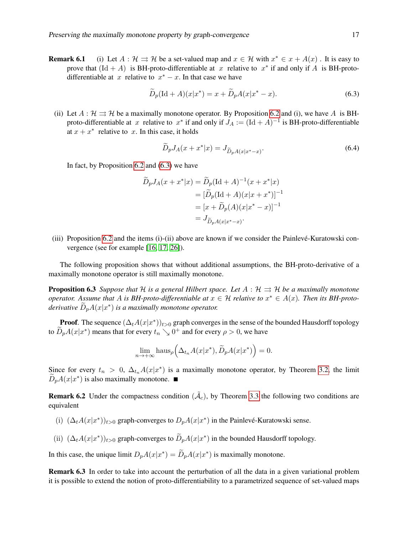**Remark 6.1** (i) Let  $A : \mathcal{H} \implies \mathcal{H}$  be a set-valued map and  $x \in \mathcal{H}$  with  $x^* \in x + A(x)$ . It is easy to prove that  $(\text{Id} + A)$  is BH-proto-differentiable at x relative to  $x^*$  if and only if A is BH-protodifferentiable at x relative to  $x^* - x$ . In that case we have

$$
\widetilde{D}_p(\text{Id} + A)(x|x^*) = x + \widetilde{D}_p A(x|x^* - x). \tag{6.3}
$$

(ii) Let  $A : \mathcal{H} \rightrightarrows \mathcal{H}$  be a maximally monotone operator. By Proposition 6.2 and (i), we have A is BHproto-differentiable at x relative to  $x^*$  if and only if  $J_A := (\text{Id} + A)^{-1}$  is BH-proto-differentiable at  $x + x^*$  relative to x. In this case, it holds

$$
\widetilde{D}_p J_A(x + x^* | x) = J_{\widetilde{D}_p A(x | x^* - x)}.
$$
\n(6.4)

In fact, by Proposition 6.2 and (6.3) we have

$$
\widetilde{D}_p J_A(x + x^* | x) = \widetilde{D}_p (\text{Id} + A)^{-1} (x + x^* | x)
$$

$$
= [\widetilde{D}_p (\text{Id} + A)(x | x + x^*)]^{-1}
$$

$$
= [x + \widetilde{D}_p (A)(x | x^* - x)]^{-1}
$$

$$
= J_{\widetilde{D}_p A(x | x^* - x)}.
$$

(iii) Proposition 6.2 and the items (i)-(ii) above are known if we consider the Painlevé-Kuratowski convergence (see for example [16, 17, 26]).

The following proposition shows that without additional assumptions, the BH-proto-derivative of a maximally monotone operator is still maximally monotone.

**Proposition 6.3** *Suppose that*  $H$  *is a general Hilbert space. Let*  $A : H \rightrightarrows H$  *be a maximally monotone operator.* Assume that A is BH-proto-differentiable at  $x \in \mathcal{H}$  relative to  $x^* \in A(x)$ . Then its BH-proto $derivative \ \widetilde{D}_p A(x|x^*)$  is a maximally monotone operator.

**Proof.** The sequence  $(\Delta_t A(x|x^*))_{t>0}$  graph converges in the sense of the bounded Hausdorff topology to  $\widetilde{D}_p A(x|x^*)$  means that for every  $t_n \searrow 0^+$  and for every  $\rho > 0$ , we have

$$
\lim_{n \to +\infty} \text{haus}_{\rho}\Big(\Delta_{t_n} A(x|x^*), \widetilde{D}_p A(x|x^*)\Big) = 0.
$$

Since for every  $t_n > 0$ ,  $\Delta_{t_n} A(x|x^*)$  is a maximally monotone operator, by Theorem 3.2, the limit  $\widetilde{D}_p A(x|x^*)$  is also maximally monotone.

**Remark 6.2** Under the compactness condition  $(\tilde{A}_c)$ , by Theorem 3.3 the following two conditions are equivalent

- (i)  $(\Delta_t A(x|x^*))_{t>0}$  graph-converges to  $D_p A(x|x^*)$  in the Painlevé-Kuratowski sense.
- (ii)  $(\Delta_t A(x|x^*))_{t>0}$  graph-converges to  $\widetilde{D}_p A(x|x^*)$  in the bounded Hausdorff topology.

In this case, the unique limit  $D_pA(x|x^*) = \widetilde{D}_pA(x|x^*)$  is maximally monotone.

Remark 6.3 In order to take into account the perturbation of all the data in a given variational problem it is possible to extend the notion of proto-differentiability to a parametrized sequence of set-valued maps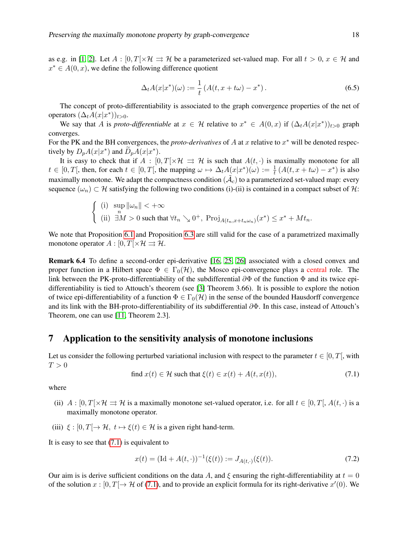as e.g. in [1, 2]. Let  $A : [0, T] \times \mathcal{H} \Rightarrow \mathcal{H}$  be a parameterized set-valued map. For all  $t > 0, x \in \mathcal{H}$  and  $x^* \in A(0, x)$ , we define the following difference quotient

$$
\Delta_t A(x|x^*)(\omega) := \frac{1}{t} \left( A(t, x + t\omega) - x^* \right). \tag{6.5}
$$

The concept of proto-differentiability is associated to the graph convergence properties of the net of operators  $(\Delta_t A(x|x^*))_{t>0}$ .

We say that A is *proto-differentiable* at  $x \in \mathcal{H}$  relative to  $x^* \in A(0,x)$  if  $(\Delta_t A(x|x^*))_{t>0}$  graph converges.

For the PK and the BH convergences, the *proto-derivatives* of  $A$  at  $x$  relative to  $x^*$  will be denoted respectively by  $D_pA(x|x^*)$  and  $\widetilde{D}_pA(x|x^*)$ .

It is easy to check that if  $A : [0, T] \times \mathcal{H} \Rightarrow \mathcal{H}$  is such that  $A(t, \cdot)$  is maximally monotone for all  $t \in [0, T[$ , then, for each  $t \in [0, T[$ , the mapping  $\omega \mapsto \Delta_t A(x|x^*)(\omega) := \frac{1}{t} (A(t, x + t\omega) - x^*)$  is also maximally monotone. We adapt the compactness condition  $(\tilde{\mathcal{A}}_c)$  to a parameterized set-valued map: every sequence  $(\omega_n) \subset \mathcal{H}$  satisfying the following two conditions (i)-(ii) is contained in a compact subset of H:

$$
\begin{cases} \n(i) \quad \sup_{n} \|\omega_{n}\| < +\infty \\ \n(ii) \quad \exists M > 0 \text{ such that } \forall t_{n} \searrow 0^{+}, \text{ Proj}_{A(t_{n},x+t_{n}\omega_{n})}(x^{*}) \leq x^{*} + Mt_{n}.\n\end{cases}
$$

We note that Proposition 6.1 and Proposition 6.3 are still valid for the case of a parametrized maximally monotone operator  $A : [0, T] \times \mathcal{H} \rightrightarrows \mathcal{H}$ .

Remark 6.4 To define a second-order epi-derivative [16, 25, 26] associated with a closed convex and proper function in a Hilbert space  $\Phi \in \Gamma_0(\mathcal{H})$ , the Mosco epi-convergence plays a central role. The link between the PK-proto-differentiability of the subdifferential  $\partial \Phi$  of the function  $\Phi$  and its twice epidifferentiability is tied to Attouch's theorem (see [3] Theorem 3.66). It is possible to explore the notion of twice epi-differentiability of a function  $\Phi \in \Gamma_0(\mathcal{H})$  in the sense of the bounded Hausdorff convergence and its link with the BH-proto-differentiability of its subdifferential ∂Φ. In this case, instead of Attouch's Theorem, one can use [11, Theorem 2.3].

### 7 Application to the sensitivity analysis of monotone inclusions

Let us consider the following perturbed variational inclusion with respect to the parameter  $t \in [0, T]$ , with  $T > 0$ 

find 
$$
x(t) \in \mathcal{H}
$$
 such that  $\xi(t) \in x(t) + A(t, x(t)),$  (7.1)

where

- (ii)  $A : [0, T] \times \mathcal{H} \rightrightarrows \mathcal{H}$  is a maximally monotone set-valued operator, i.e. for all  $t \in [0, T]$ ,  $A(t, \cdot)$  is a maximally monotone operator.
- (iii)  $\xi : [0, T] \to \mathcal{H}, t \mapsto \xi(t) \in \mathcal{H}$  is a given right hand-term.

It is easy to see that (7.1) is equivalent to

$$
x(t) = (\text{Id} + A(t, \cdot))^{-1}(\xi(t)) := J_{A(t, \cdot)}(\xi(t)).
$$
\n(7.2)

Our aim is is derive sufficient conditions on the data A, and  $\xi$  ensuring the right-differentiability at  $t = 0$ of the solution  $x : [0, T] \to \mathcal{H}$  of (7.1), and to provide an explicit formula for its right-derivative  $x'(0)$ . We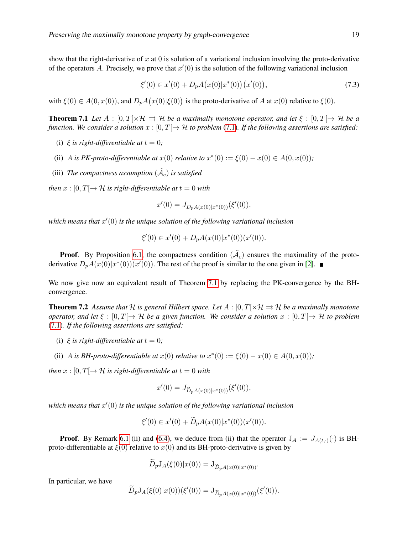show that the right-derivative of x at 0 is solution of a variational inclusion involving the proto-derivative of the operators A. Precisely, we prove that  $x'(0)$  is the solution of the following variational inclusion

$$
\xi'(0) \in x'(0) + D_p A(x(0)|x^*(0))(x'(0)),\tag{7.3}
$$

with  $\xi(0) \in A(0, x(0))$ , and  $D_p A(x(0)|\xi(0))$  is the proto-derivative of A at  $x(0)$  relative to  $\xi(0)$ .

**Theorem 7.1** *Let*  $A : [0, T] \times \mathcal{H} \Rightarrow \mathcal{H}$  *be a maximally monotone operator, and let*  $\xi : [0, T] \rightarrow \mathcal{H}$  *be a function. We consider a solution*  $x : [0, T] \rightarrow H$  *to problem* (7.1)*. If the following assertions are satisfied:* 

- (i)  $\xi$  *is right-differentiable at*  $t = 0$ ;
- (ii) A *is PK-proto-differentiable at*  $x(0)$  *relative to*  $x^*(0) := \xi(0) x(0) \in A(0, x(0))$ ;
- (iii) The compactness assumption  $(\tilde{A}_c)$  is satisfied

*then*  $x : [0, T] \rightarrow \mathcal{H}$  *is right-differentiable at*  $t = 0$  *with* 

$$
x'(0) = J_{D_pA(x(0)|x^*(0))}(\xi'(0)),
$$

which means that  $x'(0)$  is the unique solution of the following variational inclusion

$$
\xi'(0) \in x'(0) + D_p A(x(0)|x^*(0))(x'(0)).
$$

**Proof.** By Proposition 6.1, the compactness condition  $(\tilde{\mathcal{A}}_c)$  ensures the maximality of the protoderivative  $D_p A(x(0)|x^*(0))(x'(0))$ . The rest of the proof is similar to the one given in [2].

We now give now an equivalent result of Theorem 7.1 by replacing the PK-convergence by the BHconvergence.

**Theorem 7.2** Assume that H is general Hilbert space. Let  $A : [0, T] \times H \Rightarrow H$  be a maximally monotone *operator, and let*  $\xi : [0, T] \to H$  *be a given function. We consider a solution*  $x : [0, T] \to H$  *to problem* (7.1)*. If the following assertions are satisfied:*

- (i)  $\xi$  *is right-differentiable at*  $t = 0$ ;
- (ii) A is BH-proto-differentiable at  $x(0)$  relative to  $x^*(0) := \xi(0) x(0) \in A(0, x(0))$ ;

*then*  $x : [0, T] \rightarrow H$  *is right-differentiable at*  $t = 0$  *with* 

$$
x'(0) = J_{\widetilde{D}_p A(x(0)|x^*(0))}(\xi'(0)),
$$

which means that  $x'(0)$  is the unique solution of the following variational inclusion

$$
\xi'(0) \in x'(0) + \widetilde{D}_p A(x(0)|x^*(0))(x'(0)).
$$

**Proof.** By Remark 6.1 (ii) and (6.4), we deduce from (ii) that the operator  $J_A := J_{A(t, \cdot)}(\cdot)$  is BHproto-differentiable at  $\xi(0)$  relative to  $x(0)$  and its BH-proto-derivative is given by

$$
D_p J_A(\xi(0)|x(0)) = J_{\widetilde{D}_p A(x(0)|x^*(0))}.
$$

In particular, we have

$$
\widetilde{D}_p J_A(\xi(0)|x(0))(\xi'(0)) = J_{\widetilde{D}_p A(x(0)|x^*(0))}(\xi'(0)).
$$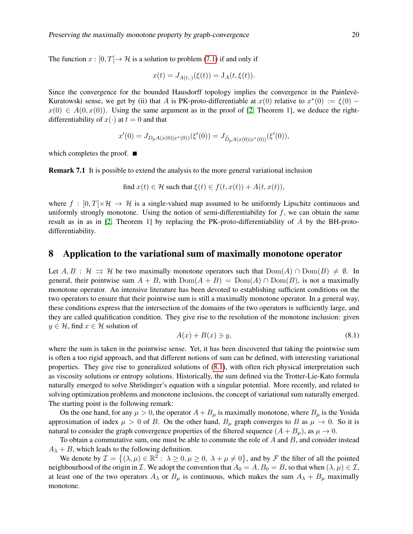The function  $x : [0, T] \to \mathcal{H}$  is a solution to problem (7.1) if and only if

$$
x(t) = J_{A(t,\cdot)}(\xi(t)) = J_A(t, \xi(t)).
$$

Since the convergence for the bounded Hausdorff topology implies the convergence in the Painlevé-Kuratowski sense, we get by (ii) that A is PK-proto-differentiable at  $x(0)$  relative to  $x^*(0) := \xi(0)$  –  $x(0) \in A(0, x(0))$ . Using the same argument as in the proof of [2, Theorem 1], we deduce the rightdifferentiability of  $x(\cdot)$  at  $t = 0$  and that

$$
x'(0) = J_{D_pA(x(0)|x^*(0))}(\xi'(0)) = J_{\widetilde{D}_pA(x(0)|x^*(0))}(\xi'(0)),
$$

which completes the proof.  $\blacksquare$ 

Remark 7.1 It is possible to extend the analysis to the more general variational inclusion

find 
$$
x(t) \in \mathcal{H}
$$
 such that  $\xi(t) \in f(t, x(t)) + A(t, x(t)),$ 

where  $f : [0, T] \times \mathcal{H} \to \mathcal{H}$  is a single-valued map assumed to be uniformly Lipschitz continuous and uniformly strongly monotone. Using the notion of semi-differentiability for  $f$ , we can obtain the same result as in as in [2, Theorem 1] by replacing the PK-proto-differentiability of A by the BH-protodifferentiability.

### 8 Application to the variational sum of maximally monotone operator

Let  $A, B : \mathcal{H} \implies \mathcal{H}$  be two maximally monotone operators such that  $Dom(A) \cap Dom(B) \neq \emptyset$ . In general, their pointwise sum  $A + B$ , with  $Dom(A + B) = Dom(A) \cap Dom(B)$ , is not a maximally monotone operator. An intensive literature has been devoted to establishing sufficient conditions on the two operators to ensure that their pointwise sum is still a maximally monotone operator. In a general way, these conditions express that the intersection of the domains of the two operators is sufficiently large, and they are called qualification condition. They give rise to the resolution of the monotone inclusion: given  $y \in \mathcal{H}$ , find  $x \in \mathcal{H}$  solution of

$$
A(x) + B(x) \ni y,\tag{8.1}
$$

where the sum is taken in the pointwise sense. Yet, it has been discovered that taking the pointwise sum is often a too rigid approach, and that different notions of sum can be defined, with interesting variational properties. They give rise to generalized solutions of (8.1), with often rich physical interpretation such as viscosity solutions or entropy solutions. Historically, the sum defined via the Trotter-Lie-Kato formula naturally emerged to solve Shrödinger's equation with a singular potential. More recently, and related to solving optimization problems and monotone inclusions, the concept of variational sum naturally emerged. The starting point is the following remark:

On the one hand, for any  $\mu > 0$ , the operator  $A + B_{\mu}$  is maximally monotone, where  $B_{\mu}$  is the Yosida approximation of index  $\mu > 0$  of B. On the other hand,  $B_{\mu}$  graph converges to B as  $\mu \to 0$ . So it is natural to consider the graph convergence properties of the filtered sequence  $(A + B_u)$ , as  $\mu \to 0$ .

To obtain a commutative sum, one must be able to commute the role of  $A$  and  $B$ , and consider instead  $A_{\lambda} + B$ , which leads to the following definition.

We denote by  $\mathcal{I} = \{(\lambda, \mu) \in \mathbb{R}^2 : \lambda \geq 0, \mu \geq 0, \lambda + \mu \neq 0\}$ , and by F the filter of all the pointed neighbourhood of the origin in *I*. We adopt the convention that  $A_0 = A, B_0 = B$ , so that when  $(\lambda, \mu) \in I$ , at least one of the two operators  $A_{\lambda}$  or  $B_{\mu}$  is continuous, which makes the sum  $A_{\lambda} + B_{\mu}$  maximally monotone.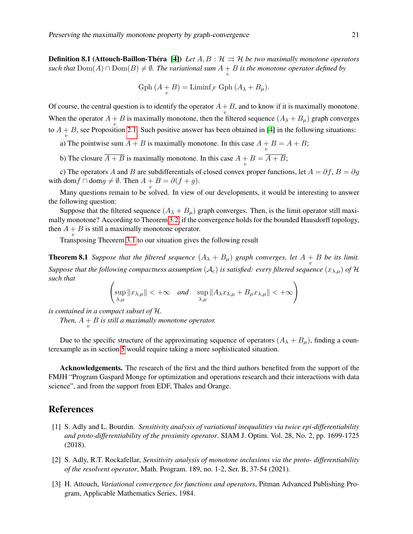**Definition 8.1 (Attouch-Baillon-Théra [4])** Let  $A, B : \mathcal{H} \implies \mathcal{H}$  be two maximally monotone operators such that  $\text{Dom}(A) \cap \text{Dom}(B) \neq \emptyset$ . The variational sum  $A + B$  is the monotone operator defined by

Gph 
$$
(A + B) = \text{Limit}_{\mathcal{F}} \text{Gph } (A_{\lambda} + B_{\mu}).
$$

Of course, the central question is to identify the operator  $A + B$ , and to know if it is maximally monotone. When the operator  $A + B$  is maximally monotone, then the filtered sequence  $(A_{\lambda} + B_{\mu})$  graph converges to  $A + B$ , see Proposition 2.1. Such positive answer has been obtained in [4] in the following situations:

a) The pointwise sum  $A + B$  is maximally monotone. In this case  $A + B = A + B$ ;

b) The closure  $A + B$  is maximally monotone. In this case  $A + B = A + B$ ;

c) The operators A and B are subdifferentials of closed convex proper functions, let  $A = \partial f$ ,  $B = \partial g$ with dom  $f \cap \text{dom } g \neq \emptyset$ . Then  $A + B = \partial (f + g)$ .

Many questions remain to be solved. In view of our developments, it would be interesting to answer the following question:

Suppose that the filtered sequence  $(A_{\lambda} + B_{\mu})$  graph converges. Then, is the limit operator still maximally monotone? According to Theorem 3.2, if the convergence holds for the bounded Hausdorff topology, then  $A + B$  is still a maximally monotone operator.

Transposing Theorem 3.1 to our situation gives the following result

**Theorem 8.1** *Suppose that the filtered sequence*  $(A_{\lambda} + B_{\mu})$  *graph converges, let*  $A + B$  *be its limit. Suppose that the following compactness assumption*  $(A_c)$  *is satisfied: every filtered sequence*  $(x_{\lambda,\mu})$  *of*  $\mathcal{H}$ *such that*

$$
\left(\sup_{\lambda,\mu}||x_{\lambda,\mu}|| < +\infty \quad \text{and} \quad \sup_{\lambda,\mu}||A_{\lambda}x_{\lambda,\mu} + B_{\mu}x_{\lambda,\mu}|| < +\infty\right)
$$

*is contained in a compact subset of* H*.*

*Then,*  $A + B$  *is still a maximally monotone operator.* 

Due to the specific structure of the approximating sequence of operators  $(A_{\lambda} + B_{\mu})$ , finding a counterexample as in section 5 would require taking a more sophisticated situation.

Acknowledgements. The research of the first and the third authors benefited from the support of the FMJH "Program Gaspard Monge for optimization and operations research and their interactions with data science", and from the support from EDF, Thales and Orange.

## References

- [1] S. Adly and L. Bourdin. *Sensitivity analysis of variational inequalities via twice epi-differentiability and proto-differentiability of the proximity operator*. SIAM J. Optim. Vol. 28, No. 2, pp. 1699-1725 (2018).
- [2] S. Adly, R.T. Rockafellar, *Sensitivity analysis of monotone inclusions via the proto- differentiability of the resolvent operator*, Math. Program. 189, no. 1-2, Ser. B, 37-54 (2021).
- [3] H. Attouch, *Variational convergence for functions and operators*, Pitman Advanced Publishing Program, Applicable Mathematics Series, 1984.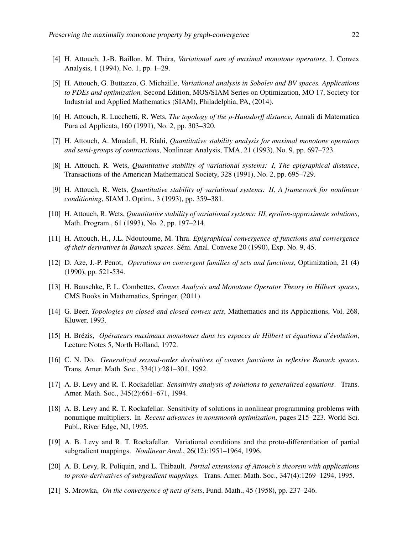- [4] H. Attouch, J.-B. Baillon, M. Théra, *Variational sum of maximal monotone operators*, J. Convex Analysis, 1 (1994), No. 1, pp. 1–29.
- [5] H. Attouch, G. Buttazzo, G. Michaille, *Variational analysis in Sobolev and BV spaces. Applications to PDEs and optimization.* Second Edition, MOS/SIAM Series on Optimization, MO 17, Society for Industrial and Applied Mathematics (SIAM), Philadelphia, PA, (2014).
- [6] H. Attouch, R. Lucchetti, R. Wets, *The topology of the* ρ*-Hausdorff distance*, Annali di Matematica Pura ed Applicata, 160 (1991), No. 2, pp. 303–320.
- [7] H. Attouch, A. Moudafi, H. Riahi, *Quantitative stability analysis for maximal monotone operators and semi-groups of contractions*, Nonlinear Analysis, TMA, 21 (1993), No. 9, pp. 697–723.
- [8] H. Attouch, R. Wets, *Quantitative stability of variational systems: I, The epigraphical distance*, Transactions of the American Mathematical Society, 328 (1991), No. 2, pp. 695–729.
- [9] H. Attouch, R. Wets, *Quantitative stability of variational systems: II, A framework for nonlinear conditioning*, SIAM J. Optim., 3 (1993), pp. 359–381.
- [10] H. Attouch, R. Wets, *Quantitative stability of variational systems: III, epsilon-approximate solutions*, Math. Program., 61 (1993), No. 2, pp. 197–214.
- [11] H. Attouch, H., J.L. Ndoutoume, M. Thra. *Epigraphical convergence of functions and convergence of their derivatives in Banach spaces*. Sem. Anal. Convexe 20 (1990), Exp. No. 9, 45. ´
- [12] D. Aze, J.-P. Penot, *Operations on convergent families of sets and functions*, Optimization, 21 (4) (1990), pp. 521-534.
- [13] H. Bauschke, P. L. Combettes, *Convex Analysis and Monotone Operator Theory in Hilbert spaces*, CMS Books in Mathematics, Springer, (2011).
- [14] G. Beer, *Topologies on closed and closed convex sets*, Mathematics and its Applications, Vol. 268, Kluwer, 1993.
- [15] H. Brezis, ´ *Operateurs maximaux monotones dans les espaces de Hilbert et ´ equations d' ´ evolution ´* , Lecture Notes 5, North Holland, 1972.
- [16] C. N. Do. *Generalized second-order derivatives of convex functions in reflexive Banach spaces*. Trans. Amer. Math. Soc., 334(1):281–301, 1992.
- [17] A. B. Levy and R. T. Rockafellar. *Sensitivity analysis of solutions to generalized equations*. Trans. Amer. Math. Soc., 345(2):661–671, 1994.
- [18] A. B. Levy and R. T. Rockafellar. Sensitivity of solutions in nonlinear programming problems with nonunique multipliers. In *Recent advances in nonsmooth optimization*, pages 215–223. World Sci. Publ., River Edge, NJ, 1995.
- [19] A. B. Levy and R. T. Rockafellar. Variational conditions and the proto-differentiation of partial subgradient mappings. *Nonlinear Anal.*, 26(12):1951–1964, 1996.
- [20] A. B. Levy, R. Poliquin, and L. Thibault. *Partial extensions of Attouch's theorem with applications to proto-derivatives of subgradient mappings.* Trans. Amer. Math. Soc., 347(4):1269–1294, 1995.
- [21] S. Mrowka, *On the convergence of nets of sets*, Fund. Math., 45 (1958), pp. 237–246.